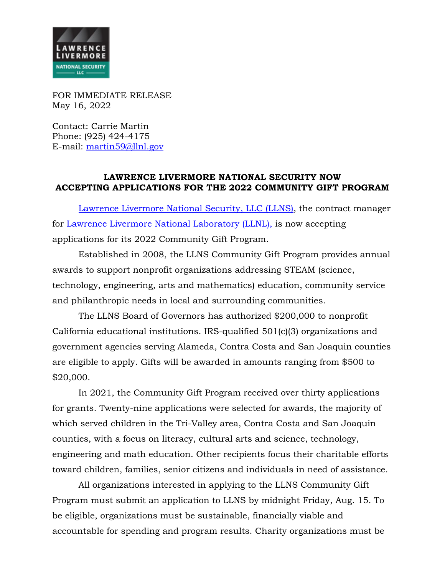

FOR IMMEDIATE RELEASE May 16, 2022

Contact: Carrie Martin Phone: (925) 424-4175 E-mail: martin59@llnl.gov

## **LAWRENCE LIVERMORE NATIONAL SECURITY NOW ACCEPTING APPLICATIONS FOR THE 2022 COMMUNITY GIFT PROGRAM**

Lawrence Livermore National Security, LLC (LLNS), the contract manager for Lawrence Livermore National Laboratory (LLNL), is now accepting applications for its 2022 Community Gift Program.

Established in 2008, the LLNS Community Gift Program provides annual awards to support nonprofit organizations addressing STEAM (science, technology, engineering, arts and mathematics) education, community service and philanthropic needs in local and surrounding communities.

The LLNS Board of Governors has authorized \$200,000 to nonprofit California educational institutions. IRS-qualified 501(c)(3) organizations and government agencies serving Alameda, Contra Costa and San Joaquin counties are eligible to apply. Gifts will be awarded in amounts ranging from \$500 to \$20,000.

In 2021, the Community Gift Program received over thirty applications for grants. Twenty-nine applications were selected for awards, the majority of which served children in the Tri-Valley area, Contra Costa and San Joaquin counties, with a focus on literacy, cultural arts and science, technology, engineering and math education. Other recipients focus their charitable efforts toward children, families, senior citizens and individuals in need of assistance.

All organizations interested in applying to the LLNS Community Gift Program must submit an application to LLNS by midnight Friday, Aug. 15. To be eligible, organizations must be sustainable, financially viable and accountable for spending and program results. Charity organizations must be